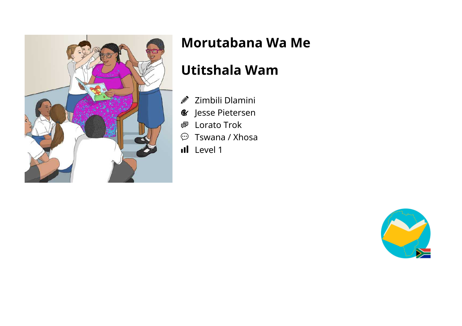

# **Morutabana Wa Me**

### **Utitshala Wam**

- $\mathscr Z$  Zimbili Dlamini
- Jesse Pietersen
- Lorato Trok 粵
- $\circled{r}$  Tswana / Xhosa
- Il Level 1

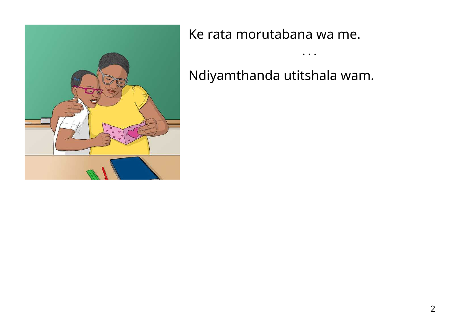

Ke rata morutabana wa me.

Ndiyamthanda utitshala wam.

• • •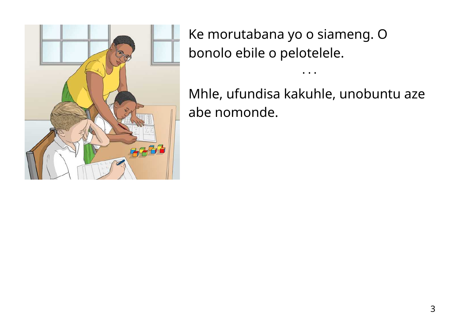

Ke morutabana yo o siameng. O bonolo ebile o pelotelele.

Mhle, ufundisa kakuhle, unobuntu aze abe nomonde.

• • •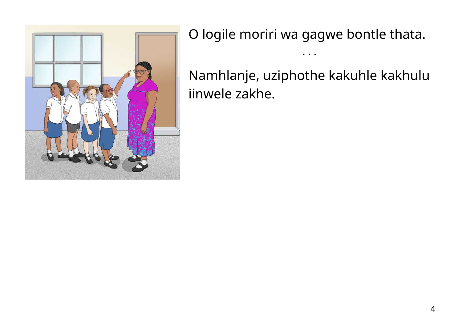

O logile moriri wa gagwe bontle thata.

• • •

Namhlanje, uziphothe kakuhle kakhulu iinwele zakhe.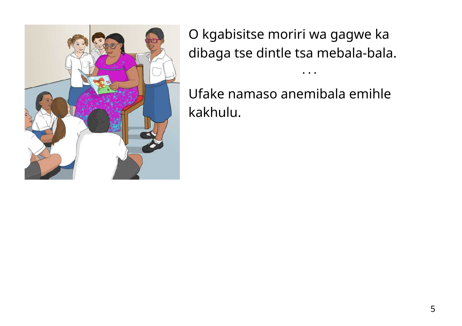

O kgabisitse moriri wa gagwe ka dibaga tse dintle tsa mebala-bala.

• • •

Ufake namaso anemibala emihle kakhulu.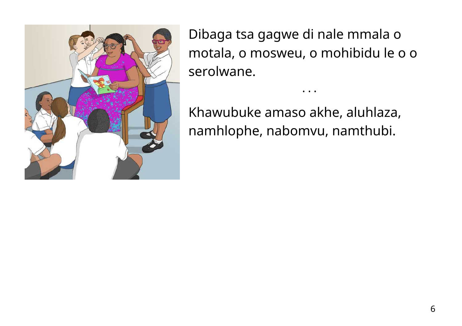

Dibaga tsa gagwe di nale mmala o motala, o mosweu, o mohibidu le o o serolwane.

• • •

Khawubuke amaso akhe, aluhlaza, namhlophe, nabomvu, namthubi.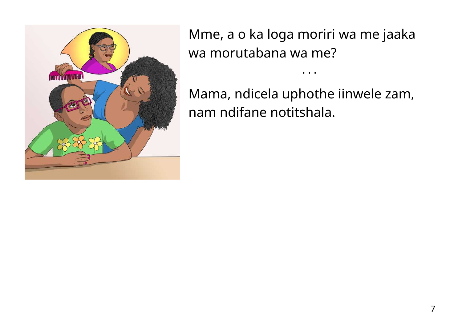

Mme, a o ka loga moriri wa me jaaka wa morutabana wa me?

• • •

Mama, ndicela uphothe iinwele zam, nam ndifane notitshala.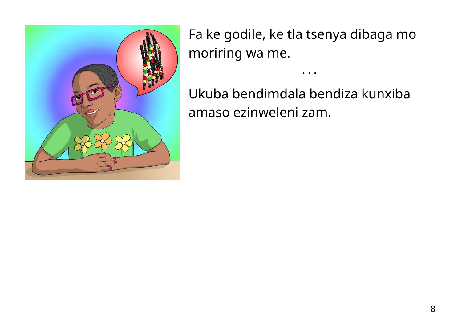

Fa ke godile, ke tla tsenya dibaga mo moriring wa me.

• • •

Ukuba bendimdala bendiza kunxiba amaso ezinweleni zam.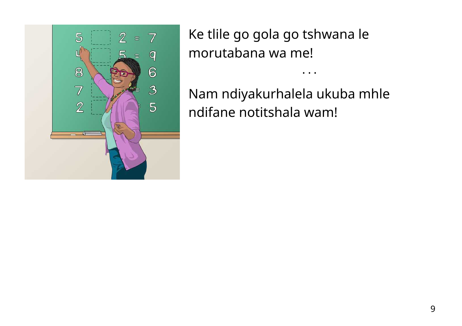

Ke tlile go gola go tshwana le morutabana wa me!

Nam ndiyakurhalela ukuba mhle ndifane notitshala wam!

• • •